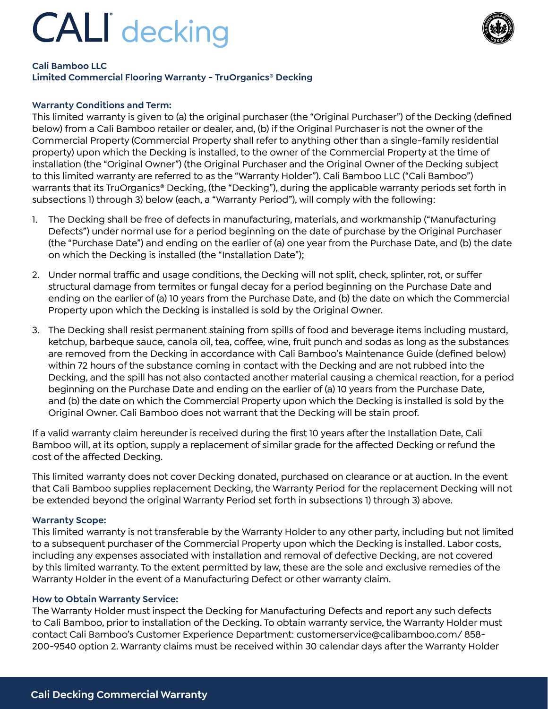# **CALI** decking



### **Cali Bamboo LLC**

## **Limited Commercial Flooring Warranty - TruOrganics® Decking**

### **Warranty Conditions and Term:**

This limited warranty is given to (a) the original purchaser (the "Original Purchaser") of the Decking (defined below) from a Cali Bamboo retailer or dealer, and, (b) if the Original Purchaser is not the owner of the Commercial Property (Commercial Property shall refer to anything other than a single-family residential property) upon which the Decking is installed, to the owner of the Commercial Property at the time of installation (the "Original Owner") (the Original Purchaser and the Original Owner of the Decking subject to this limited warranty are referred to as the "Warranty Holder"). Cali Bamboo LLC ("Cali Bamboo") warrants that its TruOrganics® Decking, (the "Decking"), during the applicable warranty periods set forth in subsections 1) through 3) below (each, a "Warranty Period"), will comply with the following:

- 1. The Decking shall be free of defects in manufacturing, materials, and workmanship ("Manufacturing Defects") under normal use for a period beginning on the date of purchase by the Original Purchaser (the "Purchase Date") and ending on the earlier of (a) one year from the Purchase Date, and (b) the date on which the Decking is installed (the "Installation Date");
- 2. Under normal traffic and usage conditions, the Decking will not split, check, splinter, rot, or suffer structural damage from termites or fungal decay for a period beginning on the Purchase Date and ending on the earlier of (a) 10 years from the Purchase Date, and (b) the date on which the Commercial Property upon which the Decking is installed is sold by the Original Owner.
- 3. The Decking shall resist permanent staining from spills of food and beverage items including mustard, ketchup, barbeque sauce, canola oil, tea, coffee, wine, fruit punch and sodas as long as the substances are removed from the Decking in accordance with Cali Bamboo's Maintenance Guide (defined below) within 72 hours of the substance coming in contact with the Decking and are not rubbed into the Decking, and the spill has not also contacted another material causing a chemical reaction, for a period beginning on the Purchase Date and ending on the earlier of (a) 10 years from the Purchase Date, and (b) the date on which the Commercial Property upon which the Decking is installed is sold by the Original Owner. Cali Bamboo does not warrant that the Decking will be stain proof.

If a valid warranty claim hereunder is received during the first 10 years after the Installation Date, Cali Bamboo will, at its option, supply a replacement of similar grade for the affected Decking or refund the cost of the affected Decking.

This limited warranty does not cover Decking donated, purchased on clearance or at auction. In the event that Cali Bamboo supplies replacement Decking, the Warranty Period for the replacement Decking will not be extended beyond the original Warranty Period set forth in subsections 1) through 3) above.

#### **Warranty Scope:**

This limited warranty is not transferable by the Warranty Holder to any other party, including but not limited to a subsequent purchaser of the Commercial Property upon which the Decking is installed. Labor costs, including any expenses associated with installation and removal of defective Decking, are not covered by this limited warranty. To the extent permitted by law, these are the sole and exclusive remedies of the Warranty Holder in the event of a Manufacturing Defect or other warranty claim.

#### **How to Obtain Warranty Service:**

The Warranty Holder must inspect the Decking for Manufacturing Defects and report any such defects to Cali Bamboo, prior to installation of the Decking. To obtain warranty service, the Warranty Holder must contact Cali Bamboo's Customer Experience Department: customerservice@calibamboo.com/ 858- 200-9540 option 2. Warranty claims must be received within 30 calendar days after the Warranty Holder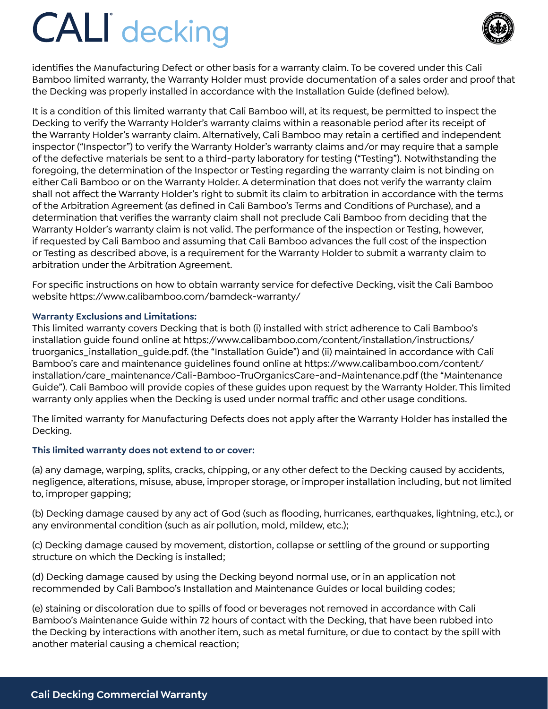# **CALI** decking



identifies the Manufacturing Defect or other basis for a warranty claim. To be covered under this Cali Bamboo limited warranty, the Warranty Holder must provide documentation of a sales order and proof that the Decking was properly installed in accordance with the Installation Guide (defined below).

It is a condition of this limited warranty that Cali Bamboo will, at its request, be permitted to inspect the Decking to verify the Warranty Holder's warranty claims within a reasonable period after its receipt of the Warranty Holder's warranty claim. Alternatively, Cali Bamboo may retain a certified and independent inspector ("Inspector") to verify the Warranty Holder's warranty claims and/or may require that a sample of the defective materials be sent to a third-party laboratory for testing ("Testing"). Notwithstanding the foregoing, the determination of the Inspector or Testing regarding the warranty claim is not binding on either Cali Bamboo or on the Warranty Holder. A determination that does not verify the warranty claim shall not affect the Warranty Holder's right to submit its claim to arbitration in accordance with the terms of the Arbitration Agreement (as defined in Cali Bamboo's Terms and Conditions of Purchase), and a determination that verifies the warranty claim shall not preclude Cali Bamboo from deciding that the Warranty Holder's warranty claim is not valid. The performance of the inspection or Testing, however, if requested by Cali Bamboo and assuming that Cali Bamboo advances the full cost of the inspection or Testing as described above, is a requirement for the Warranty Holder to submit a warranty claim to arbitration under the Arbitration Agreement.

For specific instructions on how to obtain warranty service for defective Decking, visit the Cali Bamboo website https://www.calibamboo.com/bamdeck-warranty/

### **Warranty Exclusions and Limitations:**

This limited warranty covers Decking that is both (i) installed with strict adherence to Cali Bamboo's installation guide found online at https://www.calibamboo.com/content/installation/instructions/ truorganics\_installation\_guide.pdf. (the "Installation Guide") and (ii) maintained in accordance with Cali Bamboo's care and maintenance guidelines found online at https://www.calibamboo.com/content/ installation/care\_maintenance/Cali-Bamboo-TruOrganicsCare-and-Maintenance.pdf (the "Maintenance Guide"). Cali Bamboo will provide copies of these guides upon request by the Warranty Holder. This limited warranty only applies when the Decking is used under normal traffic and other usage conditions.

The limited warranty for Manufacturing Defects does not apply after the Warranty Holder has installed the Decking.

## **This limited warranty does not extend to or cover:**

(a) any damage, warping, splits, cracks, chipping, or any other defect to the Decking caused by accidents, negligence, alterations, misuse, abuse, improper storage, or improper installation including, but not limited to, improper gapping;

(b) Decking damage caused by any act of God (such as flooding, hurricanes, earthquakes, lightning, etc.), or any environmental condition (such as air pollution, mold, mildew, etc.);

(c) Decking damage caused by movement, distortion, collapse or settling of the ground or supporting structure on which the Decking is installed;

(d) Decking damage caused by using the Decking beyond normal use, or in an application not recommended by Cali Bamboo's Installation and Maintenance Guides or local building codes;

(e) staining or discoloration due to spills of food or beverages not removed in accordance with Cali Bamboo's Maintenance Guide within 72 hours of contact with the Decking, that have been rubbed into the Decking by interactions with another item, such as metal furniture, or due to contact by the spill with another material causing a chemical reaction;